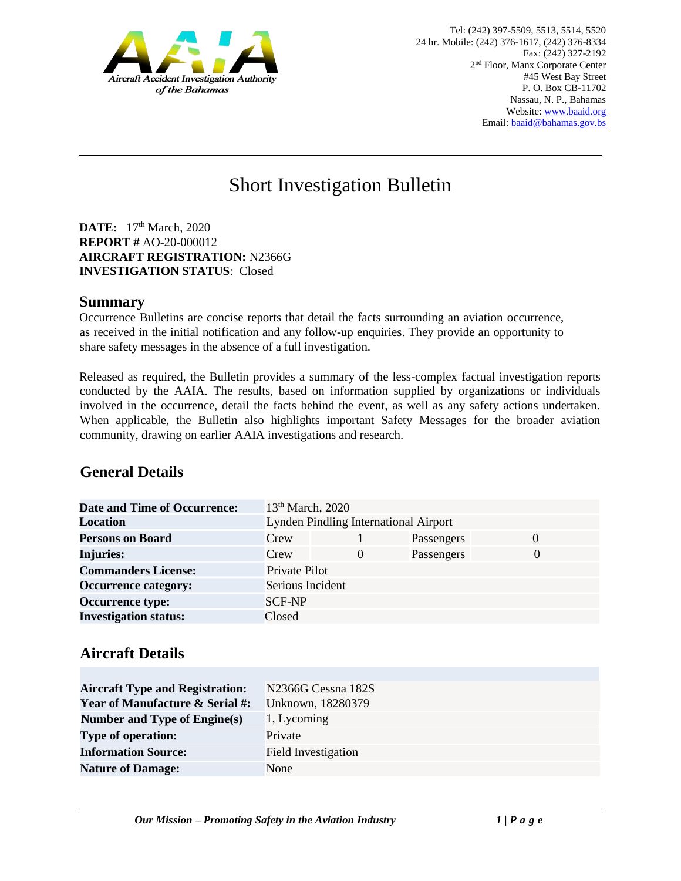

# Short Investigation Bulletin

**DATE:** 17<sup>th</sup> March, 2020 **REPORT #** AO-20-000012 **AIRCRAFT REGISTRATION:** N2366G **INVESTIGATION STATUS**: Closed

#### **Summary**

Occurrence Bulletins are concise reports that detail the facts surrounding an aviation occurrence, as received in the initial notification and any follow-up enquiries. They provide an opportunity to share safety messages in the absence of a full investigation*.* 

Released as required, the Bulletin provides a summary of the less-complex factual investigation reports conducted by the AAIA. The results, based on information supplied by organizations or individuals involved in the occurrence, detail the facts behind the event, as well as any safety actions undertaken. When applicable, the Bulletin also highlights important Safety Messages for the broader aviation community, drawing on earlier AAIA investigations and research.

## **General Details**

| <b>Date and Time of Occurrence:</b> | 13 <sup>th</sup> March, 2020                 |          |            |          |
|-------------------------------------|----------------------------------------------|----------|------------|----------|
| <b>Location</b>                     | <b>Lynden Pindling International Airport</b> |          |            |          |
| <b>Persons on Board</b>             | Crew                                         |          | Passengers | $\Omega$ |
| <b>Injuries:</b>                    | Crew                                         | $\theta$ | Passengers | $\theta$ |
| <b>Commanders License:</b>          | Private Pilot                                |          |            |          |
| <b>Occurrence category:</b>         | Serious Incident                             |          |            |          |
| <b>Occurrence type:</b>             | <b>SCF-NP</b>                                |          |            |          |
| <b>Investigation status:</b>        | Closed                                       |          |            |          |

## **Aircraft Details**

| <b>Aircraft Type and Registration:</b>     | N <sub>2366</sub> G Cessna 182S |
|--------------------------------------------|---------------------------------|
| <b>Year of Manufacture &amp; Serial #:</b> | Unknown, 18280379               |
| <b>Number and Type of Engine(s)</b>        | 1, Lycoming                     |
| <b>Type of operation:</b>                  | Private                         |
| <b>Information Source:</b>                 | Field Investigation             |
| <b>Nature of Damage:</b>                   | None                            |